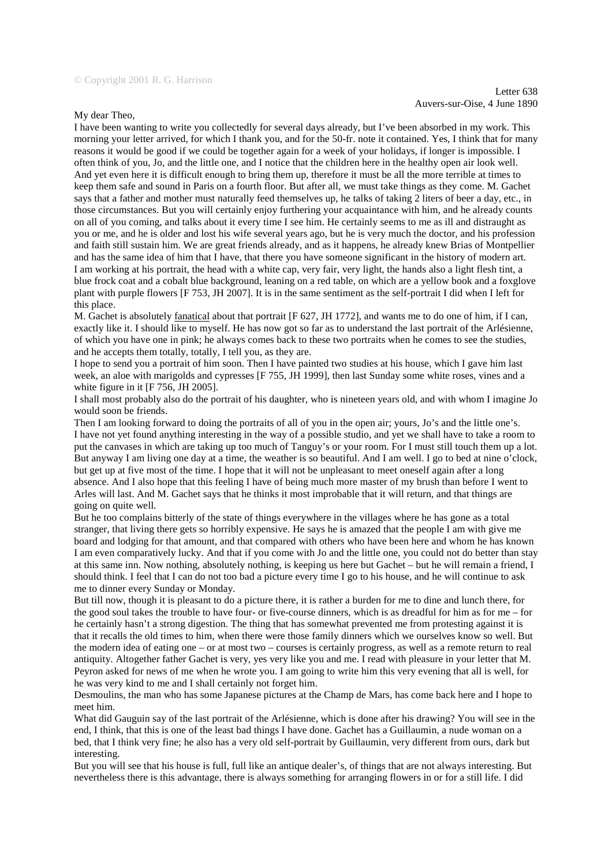## My dear Theo,

I have been wanting to write you collectedly for several days already, but I've been absorbed in my work. This morning your letter arrived, for which I thank you, and for the 50-fr. note it contained. Yes, I think that for many reasons it would be good if we could be together again for a week of your holidays, if longer is impossible. I often think of you, Jo, and the little one, and I notice that the children here in the healthy open air look well. And yet even here it is difficult enough to bring them up, therefore it must be all the more terrible at times to keep them safe and sound in Paris on a fourth floor. But after all, we must take things as they come. M. Gachet says that a father and mother must naturally feed themselves up, he talks of taking 2 liters of beer a day, etc., in those circumstances. But you will certainly enjoy furthering your acquaintance with him, and he already counts on all of you coming, and talks about it every time I see him. He certainly seems to me as ill and distraught as you or me, and he is older and lost his wife several years ago, but he is very much the doctor, and his profession and faith still sustain him. We are great friends already, and as it happens, he already knew Brias of Montpellier and has the same idea of him that I have, that there you have someone significant in the history of modern art. I am working at his portrait, the head with a white cap, very fair, very light, the hands also a light flesh tint, a blue frock coat and a cobalt blue background, leaning on a red table, on which are a yellow book and a foxglove plant with purple flowers [F 753, JH 2007]. It is in the same sentiment as the self-portrait I did when I left for this place.

M. Gachet is absolutely fanatical about that portrait [F 627, JH 1772], and wants me to do one of him, if I can, exactly like it. I should like to myself. He has now got so far as to understand the last portrait of the Arlésienne, of which you have one in pink; he always comes back to these two portraits when he comes to see the studies, and he accepts them totally, totally, I tell you, as they are.

I hope to send you a portrait of him soon. Then I have painted two studies at his house, which I gave him last week, an aloe with marigolds and cypresses [F 755, JH 1999], then last Sunday some white roses, vines and a white figure in it [F 756, JH 2005].

I shall most probably also do the portrait of his daughter, who is nineteen years old, and with whom I imagine Jo would soon be friends.

Then I am looking forward to doing the portraits of all of you in the open air; yours, Jo's and the little one's. I have not yet found anything interesting in the way of a possible studio, and yet we shall have to take a room to put the canvases in which are taking up too much of Tanguy's or your room. For I must still touch them up a lot. But anyway I am living one day at a time, the weather is so beautiful. And I am well. I go to bed at nine o'clock, but get up at five most of the time. I hope that it will not be unpleasant to meet oneself again after a long absence. And I also hope that this feeling I have of being much more master of my brush than before I went to Arles will last. And M. Gachet says that he thinks it most improbable that it will return, and that things are going on quite well.

But he too complains bitterly of the state of things everywhere in the villages where he has gone as a total stranger, that living there gets so horribly expensive. He says he is amazed that the people I am with give me board and lodging for that amount, and that compared with others who have been here and whom he has known I am even comparatively lucky. And that if you come with Jo and the little one, you could not do better than stay at this same inn. Now nothing, absolutely nothing, is keeping us here but Gachet – but he will remain a friend, I should think. I feel that I can do not too bad a picture every time I go to his house, and he will continue to ask me to dinner every Sunday or Monday.

But till now, though it is pleasant to do a picture there, it is rather a burden for me to dine and lunch there, for the good soul takes the trouble to have four- or five-course dinners, which is as dreadful for him as for me – for he certainly hasn't a strong digestion. The thing that has somewhat prevented me from protesting against it is that it recalls the old times to him, when there were those family dinners which we ourselves know so well. But the modern idea of eating one – or at most two – courses is certainly progress, as well as a remote return to real antiquity. Altogether father Gachet is very, yes very like you and me. I read with pleasure in your letter that M. Peyron asked for news of me when he wrote you. I am going to write him this very evening that all is well, for he was very kind to me and I shall certainly not forget him.

Desmoulins, the man who has some Japanese pictures at the Champ de Mars, has come back here and I hope to meet him.

What did Gauguin say of the last portrait of the Arlésienne, which is done after his drawing? You will see in the end, I think, that this is one of the least bad things I have done. Gachet has a Guillaumin, a nude woman on a bed, that I think very fine; he also has a very old self-portrait by Guillaumin, very different from ours, dark but interesting.

But you will see that his house is full, full like an antique dealer's, of things that are not always interesting. But nevertheless there is this advantage, there is always something for arranging flowers in or for a still life. I did